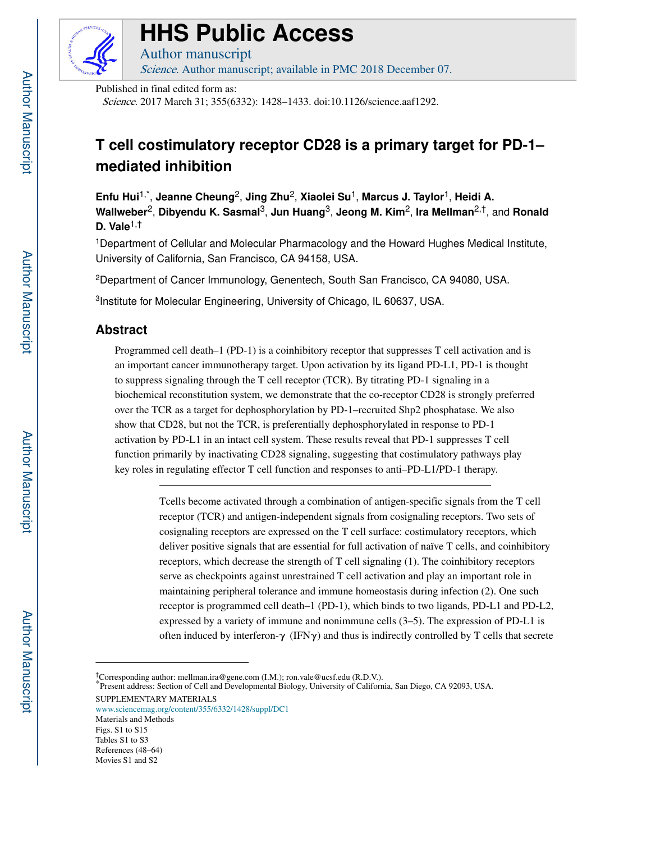

# **HHS Public Access**

Author manuscript Science. Author manuscript; available in PMC 2018 December 07.

Published in final edited form as:

Science. 2017 March 31; 355(6332): 1428–1433. doi:10.1126/science.aaf1292.

## **T cell costimulatory receptor CD28 is a primary target for PD-1– mediated inhibition**

**Enfu Hui**1,\* , **Jeanne Cheung**2, **Jing Zhu**2, **Xiaolei Su**1, **Marcus J. Taylor**1, **Heidi A. Wallweber**2, **Dibyendu K. Sasmal**3, **Jun Huang**3, **Jeong M. Kim**2, **Ira Mellman**2,†, and **Ronald D. Vale**1,†

<sup>1</sup>Department of Cellular and Molecular Pharmacology and the Howard Hughes Medical Institute, University of California, San Francisco, CA 94158, USA.

<sup>2</sup>Department of Cancer Immunology, Genentech, South San Francisco, CA 94080, USA.

<sup>3</sup>Institute for Molecular Engineering, University of Chicago, IL 60637, USA.

## **Abstract**

Programmed cell death–1 (PD-1) is a coinhibitory receptor that suppresses T cell activation and is an important cancer immunotherapy target. Upon activation by its ligand PD-L1, PD-1 is thought to suppress signaling through the T cell receptor (TCR). By titrating PD-1 signaling in a biochemical reconstitution system, we demonstrate that the co-receptor CD28 is strongly preferred over the TCR as a target for dephosphorylation by PD-1–recruited Shp2 phosphatase. We also show that CD28, but not the TCR, is preferentially dephosphorylated in response to PD-1 activation by PD-L1 in an intact cell system. These results reveal that PD-1 suppresses T cell function primarily by inactivating CD28 signaling, suggesting that costimulatory pathways play key roles in regulating effector T cell function and responses to anti–PD-L1/PD-1 therapy.

> Tcells become activated through a combination of antigen-specific signals from the T cell receptor (TCR) and antigen-independent signals from cosignaling receptors. Two sets of cosignaling receptors are expressed on the T cell surface: costimulatory receptors, which deliver positive signals that are essential for full activation of naïve T cells, and coinhibitory receptors, which decrease the strength of T cell signaling (1). The coinhibitory receptors serve as checkpoints against unrestrained T cell activation and play an important role in maintaining peripheral tolerance and immune homeostasis during infection (2). One such receptor is programmed cell death–1 (PD-1), which binds to two ligands, PD-L1 and PD-L2, expressed by a variety of immune and nonimmune cells (3–5). The expression of PD-L1 is often induced by interferon- $\gamma$  (IFN $\gamma$ ) and thus is indirectly controlled by T cells that secrete

www.sciencemag.org/content/355/6332/1428/suppl/DC1 Materials and Methods Figs. S1 to S15 Tables S1 to S3 References (48–64) Movies S1 and S2

<sup>†</sup>Corresponding author: mellman.ira@gene.com (I.M.); ron.vale@ucsf.edu (R.D.V.).

<sup>\*</sup>Present address: Section of Cell and Developmental Biology, University of California, San Diego, CA 92093, USA. SUPPLEMENTARY MATERIALS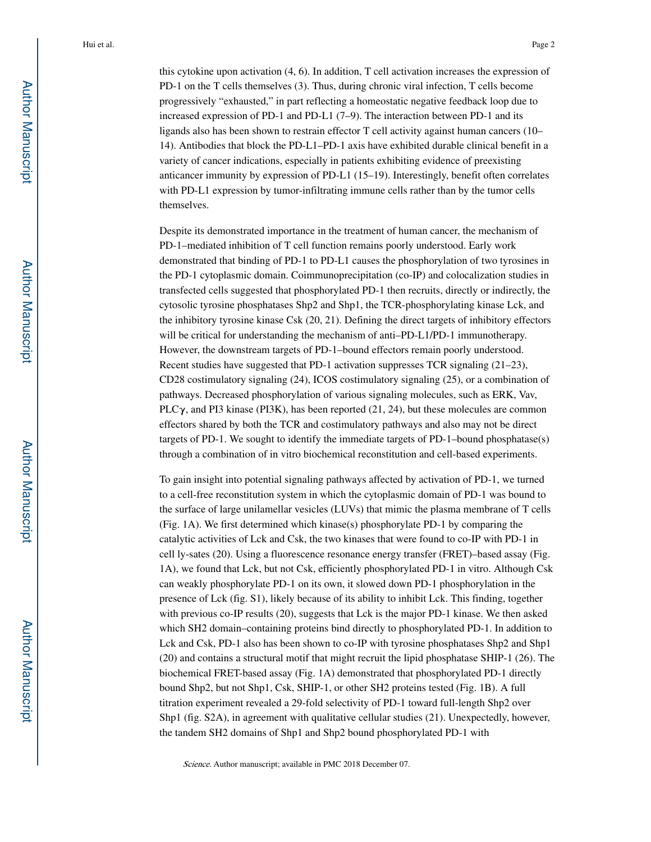this cytokine upon activation (4, 6). In addition, T cell activation increases the expression of PD-1 on the T cells themselves (3). Thus, during chronic viral infection, T cells become progressively "exhausted," in part reflecting a homeostatic negative feedback loop due to increased expression of PD-1 and PD-L1 (7–9). The interaction between PD-1 and its ligands also has been shown to restrain effector T cell activity against human cancers (10– 14). Antibodies that block the PD-L1–PD-1 axis have exhibited durable clinical benefit in a variety of cancer indications, especially in patients exhibiting evidence of preexisting anticancer immunity by expression of PD-L1 (15–19). Interestingly, benefit often correlates with PD-L1 expression by tumor-infiltrating immune cells rather than by the tumor cells themselves.

Despite its demonstrated importance in the treatment of human cancer, the mechanism of PD-1–mediated inhibition of T cell function remains poorly understood. Early work demonstrated that binding of PD-1 to PD-L1 causes the phosphorylation of two tyrosines in the PD-1 cytoplasmic domain. Coimmunoprecipitation (co-IP) and colocalization studies in transfected cells suggested that phosphorylated PD-1 then recruits, directly or indirectly, the cytosolic tyrosine phosphatases Shp2 and Shp1, the TCR-phosphorylating kinase Lck, and the inhibitory tyrosine kinase Csk (20, 21). Defining the direct targets of inhibitory effectors will be critical for understanding the mechanism of anti-PD-L1/PD-1 immunotherapy. However, the downstream targets of PD-1–bound effectors remain poorly understood. Recent studies have suggested that PD-1 activation suppresses TCR signaling (21–23), CD28 costimulatory signaling (24), ICOS costimulatory signaling (25), or a combination of pathways. Decreased phosphorylation of various signaling molecules, such as ERK, Vav, PLC $\gamma$ , and PI3 kinase (PI3K), has been reported (21, 24), but these molecules are common effectors shared by both the TCR and costimulatory pathways and also may not be direct targets of PD-1. We sought to identify the immediate targets of PD-1–bound phosphatase(s) through a combination of in vitro biochemical reconstitution and cell-based experiments.

To gain insight into potential signaling pathways affected by activation of PD-1, we turned to a cell-free reconstitution system in which the cytoplasmic domain of PD-1 was bound to the surface of large unilamellar vesicles (LUVs) that mimic the plasma membrane of T cells (Fig. 1A). We first determined which kinase(s) phosphorylate PD-1 by comparing the catalytic activities of Lck and Csk, the two kinases that were found to co-IP with PD-1 in cell ly-sates (20). Using a fluorescence resonance energy transfer (FRET)–based assay (Fig. 1A), we found that Lck, but not Csk, efficiently phosphorylated PD-1 in vitro. Although Csk can weakly phosphorylate PD-1 on its own, it slowed down PD-1 phosphorylation in the presence of Lck (fig. S1), likely because of its ability to inhibit Lck. This finding, together with previous co-IP results (20), suggests that Lck is the major PD-1 kinase. We then asked which SH2 domain–containing proteins bind directly to phosphorylated PD-1. In addition to Lck and Csk, PD-1 also has been shown to co-IP with tyrosine phosphatases Shp2 and Shp1 (20) and contains a structural motif that might recruit the lipid phosphatase SHIP-1 (26). The biochemical FRET-based assay (Fig. 1A) demonstrated that phosphorylated PD-1 directly bound Shp2, but not Shp1, Csk, SHIP-1, or other SH2 proteins tested (Fig. 1B). A full titration experiment revealed a 29-fold selectivity of PD-1 toward full-length Shp2 over Shp1 (fig. S2A), in agreement with qualitative cellular studies (21). Unexpectedly, however, the tandem SH2 domains of Shp1 and Shp2 bound phosphorylated PD-1 with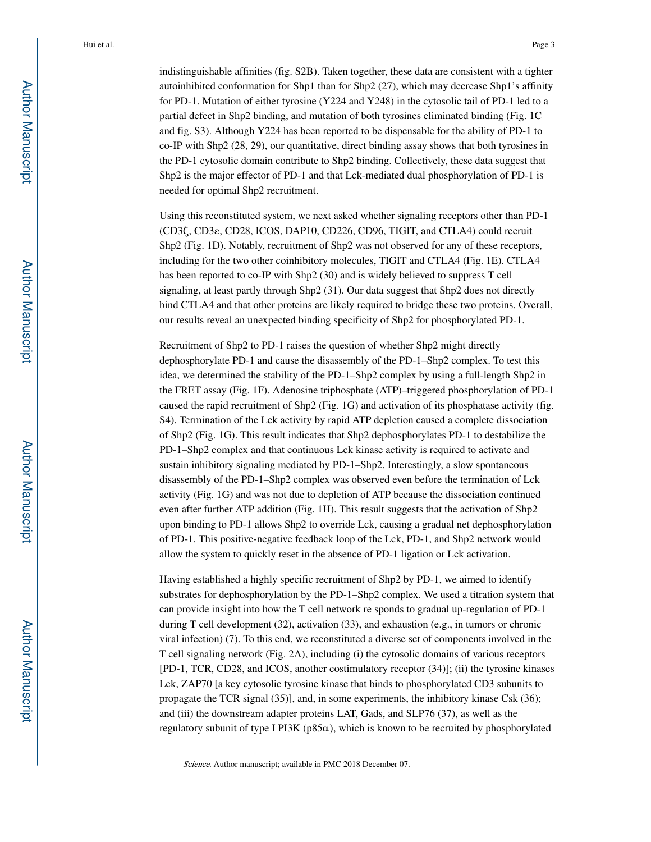indistinguishable affinities (fig. S2B). Taken together, these data are consistent with a tighter autoinhibited conformation for Shp1 than for Shp2 (27), which may decrease Shp1's affinity for PD-1. Mutation of either tyrosine (Y224 and Y248) in the cytosolic tail of PD-1 led to a partial defect in Shp2 binding, and mutation of both tyrosines eliminated binding (Fig. 1C and fig. S3). Although Y224 has been reported to be dispensable for the ability of PD-1 to co-IP with Shp2 (28, 29), our quantitative, direct binding assay shows that both tyrosines in the PD-1 cytosolic domain contribute to Shp2 binding. Collectively, these data suggest that Shp2 is the major effector of PD-1 and that Lck-mediated dual phosphorylation of PD-1 is needed for optimal Shp2 recruitment.

Using this reconstituted system, we next asked whether signaling receptors other than PD-1 (CD3ζ, CD3ε, CD28, ICOS, DAP10, CD226, CD96, TIGIT, and CTLA4) could recruit Shp2 (Fig. 1D). Notably, recruitment of Shp2 was not observed for any of these receptors, including for the two other coinhibitory molecules, TIGIT and CTLA4 (Fig. 1E). CTLA4 has been reported to co-IP with Shp2 (30) and is widely believed to suppress T cell signaling, at least partly through Shp2 (31). Our data suggest that Shp2 does not directly bind CTLA4 and that other proteins are likely required to bridge these two proteins. Overall, our results reveal an unexpected binding specificity of Shp2 for phosphorylated PD-1.

Recruitment of Shp2 to PD-1 raises the question of whether Shp2 might directly dephosphorylate PD-1 and cause the disassembly of the PD-1–Shp2 complex. To test this idea, we determined the stability of the PD-1–Shp2 complex by using a full-length Shp2 in the FRET assay (Fig. 1F). Adenosine triphosphate (ATP)–triggered phosphorylation of PD-1 caused the rapid recruitment of Shp2 (Fig. 1G) and activation of its phosphatase activity (fig. S4). Termination of the Lck activity by rapid ATP depletion caused a complete dissociation of Shp2 (Fig. 1G). This result indicates that Shp2 dephosphorylates PD-1 to destabilize the PD-1–Shp2 complex and that continuous Lck kinase activity is required to activate and sustain inhibitory signaling mediated by PD-1–Shp2. Interestingly, a slow spontaneous disassembly of the PD-1–Shp2 complex was observed even before the termination of Lck activity (Fig. 1G) and was not due to depletion of ATP because the dissociation continued even after further ATP addition (Fig. 1H). This result suggests that the activation of Shp2 upon binding to PD-1 allows Shp2 to override Lck, causing a gradual net dephosphorylation of PD-1. This positive-negative feedback loop of the Lck, PD-1, and Shp2 network would allow the system to quickly reset in the absence of PD-1 ligation or Lck activation.

Having established a highly specific recruitment of Shp2 by PD-1, we aimed to identify substrates for dephosphorylation by the PD-1–Shp2 complex. We used a titration system that can provide insight into how the T cell network re sponds to gradual up-regulation of PD-1 during T cell development (32), activation (33), and exhaustion (e.g., in tumors or chronic viral infection) (7). To this end, we reconstituted a diverse set of components involved in the T cell signaling network (Fig. 2A), including (i) the cytosolic domains of various receptors [PD-1, TCR, CD28, and ICOS, another costimulatory receptor (34)]; (ii) the tyrosine kinases Lck, ZAP70 [a key cytosolic tyrosine kinase that binds to phosphorylated CD3 subunits to propagate the TCR signal (35)], and, in some experiments, the inhibitory kinase Csk (36); and (iii) the downstream adapter proteins LAT, Gads, and SLP76 (37), as well as the regulatory subunit of type I PI3K (p85α), which is known to be recruited by phosphorylated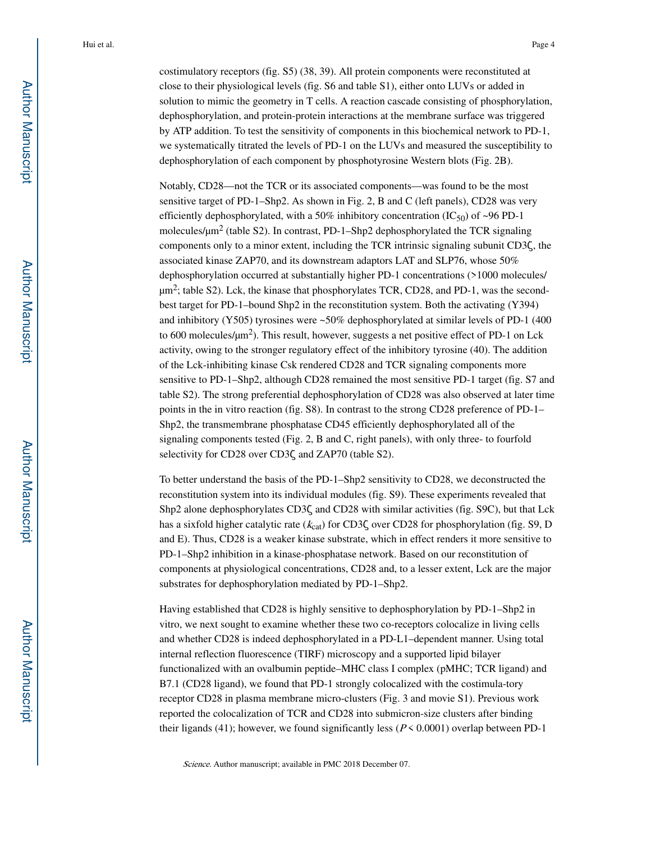costimulatory receptors (fig. S5) (38, 39). All protein components were reconstituted at close to their physiological levels (fig. S6 and table S1), either onto LUVs or added in solution to mimic the geometry in T cells. A reaction cascade consisting of phosphorylation, dephosphorylation, and protein-protein interactions at the membrane surface was triggered by ATP addition. To test the sensitivity of components in this biochemical network to PD-1, we systematically titrated the levels of PD-1 on the LUVs and measured the susceptibility to dephosphorylation of each component by phosphotyrosine Western blots (Fig. 2B).

Notably, CD28—not the TCR or its associated components—was found to be the most sensitive target of PD-1–Shp2. As shown in Fig. 2, B and C (left panels), CD28 was very efficiently dephosphorylated, with a 50% inhibitory concentration  $(IC_{50})$  of ~96 PD-1 molecules/ $\mu$ m<sup>2</sup> (table S2). In contrast, PD-1–Shp2 dephosphorylated the TCR signaling components only to a minor extent, including the TCR intrinsic signaling subunit CD3ζ, the associated kinase ZAP70, and its downstream adaptors LAT and SLP76, whose 50% dephosphorylation occurred at substantially higher PD-1 concentrations (>1000 molecules/  $\mu$ m<sup>2</sup>; table S2). Lck, the kinase that phosphorylates TCR, CD28, and PD-1, was the secondbest target for PD-1–bound Shp2 in the reconstitution system. Both the activating (Y394) and inhibitory (Y505) tyrosines were ~50% dephosphorylated at similar levels of PD-1 (400 to 600 molecules/ $\mu$ m<sup>2</sup>). This result, however, suggests a net positive effect of PD-1 on Lck activity, owing to the stronger regulatory effect of the inhibitory tyrosine (40). The addition of the Lck-inhibiting kinase Csk rendered CD28 and TCR signaling components more sensitive to PD-1–Shp2, although CD28 remained the most sensitive PD-1 target (fig. S7 and table S2). The strong preferential dephosphorylation of CD28 was also observed at later time points in the in vitro reaction (fig. S8). In contrast to the strong CD28 preference of PD-1– Shp2, the transmembrane phosphatase CD45 efficiently dephosphorylated all of the signaling components tested (Fig. 2, B and C, right panels), with only three- to fourfold selectivity for CD28 over CD3ζ and ZAP70 (table S2).

To better understand the basis of the PD-1–Shp2 sensitivity to CD28, we deconstructed the reconstitution system into its individual modules (fig. S9). These experiments revealed that Shp2 alone dephosphorylates CD3ζ and CD28 with similar activities (fig. S9C), but that Lck has a sixfold higher catalytic rate ( $k_{cat}$ ) for CD3 $\zeta$  over CD28 for phosphorylation (fig. S9, D and E). Thus, CD28 is a weaker kinase substrate, which in effect renders it more sensitive to PD-1–Shp2 inhibition in a kinase-phosphatase network. Based on our reconstitution of components at physiological concentrations, CD28 and, to a lesser extent, Lck are the major substrates for dephosphorylation mediated by PD-1–Shp2.

Having established that CD28 is highly sensitive to dephosphorylation by PD-1–Shp2 in vitro, we next sought to examine whether these two co-receptors colocalize in living cells and whether CD28 is indeed dephosphorylated in a PD-L1–dependent manner. Using total internal reflection fluorescence (TIRF) microscopy and a supported lipid bilayer functionalized with an ovalbumin peptide–MHC class I complex (pMHC; TCR ligand) and B7.1 (CD28 ligand), we found that PD-1 strongly colocalized with the costimula-tory receptor CD28 in plasma membrane micro-clusters (Fig. 3 and movie S1). Previous work reported the colocalization of TCR and CD28 into submicron-size clusters after binding their ligands (41); however, we found significantly less ( $P \le 0.0001$ ) overlap between PD-1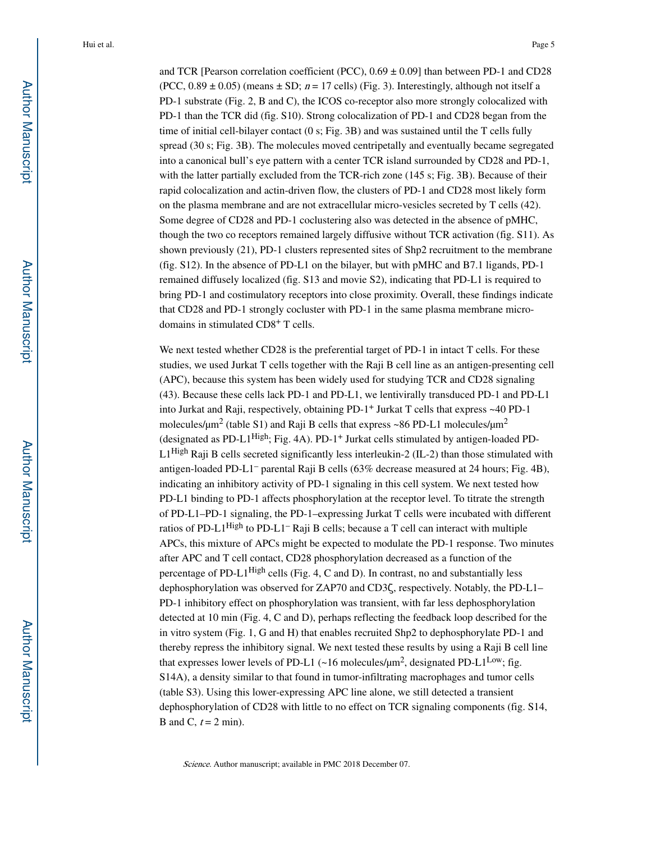and TCR [Pearson correlation coefficient (PCC),  $0.69 \pm 0.09$ ] than between PD-1 and CD28 (PCC,  $0.89 \pm 0.05$ ) (means  $\pm$  SD;  $n = 17$  cells) (Fig. 3). Interestingly, although not itself a PD-1 substrate (Fig. 2, B and C), the ICOS co-receptor also more strongly colocalized with PD-1 than the TCR did (fig. S10). Strong colocalization of PD-1 and CD28 began from the time of initial cell-bilayer contact (0 s; Fig. 3B) and was sustained until the T cells fully spread (30 s; Fig. 3B). The molecules moved centripetally and eventually became segregated into a canonical bull's eye pattern with a center TCR island surrounded by CD28 and PD-1, with the latter partially excluded from the TCR-rich zone (145 s; Fig. 3B). Because of their rapid colocalization and actin-driven flow, the clusters of PD-1 and CD28 most likely form on the plasma membrane and are not extracellular micro-vesicles secreted by T cells (42). Some degree of CD28 and PD-1 coclustering also was detected in the absence of pMHC, though the two co receptors remained largely diffusive without TCR activation (fig. S11). As shown previously (21), PD-1 clusters represented sites of Shp2 recruitment to the membrane (fig. S12). In the absence of PD-L1 on the bilayer, but with pMHC and B7.1 ligands, PD-1 remained diffusely localized (fig. S13 and movie S2), indicating that PD-L1 is required to bring PD-1 and costimulatory receptors into close proximity. Overall, these findings indicate that CD28 and PD-1 strongly cocluster with PD-1 in the same plasma membrane microdomains in stimulated CD8+ T cells.

We next tested whether CD28 is the preferential target of PD-1 in intact T cells. For these studies, we used Jurkat T cells together with the Raji B cell line as an antigen-presenting cell (APC), because this system has been widely used for studying TCR and CD28 signaling (43). Because these cells lack PD-1 and PD-L1, we lentivirally transduced PD-1 and PD-L1 into Jurkat and Raji, respectively, obtaining PD-1+ Jurkat T cells that express ~40 PD-1 molecules/ $\mu$ m<sup>2</sup> (table S1) and Raji B cells that express ~86 PD-L1 molecules/ $\mu$ m<sup>2</sup> (designated as PD-L1<sup>High</sup>; Fig. 4A). PD-1<sup>+</sup> Jurkat cells stimulated by antigen-loaded PD-L1<sup>High</sup> Raji B cells secreted significantly less interleukin-2 (IL-2) than those stimulated with antigen-loaded PD-L1– parental Raji B cells (63% decrease measured at 24 hours; Fig. 4B), indicating an inhibitory activity of PD-1 signaling in this cell system. We next tested how PD-L1 binding to PD-1 affects phosphorylation at the receptor level. To titrate the strength of PD-L1–PD-1 signaling, the PD-1–expressing Jurkat T cells were incubated with different ratios of PD-L1<sup>High</sup> to PD-L1<sup>-</sup> Raji B cells; because a T cell can interact with multiple APCs, this mixture of APCs might be expected to modulate the PD-1 response. Two minutes after APC and T cell contact, CD28 phosphorylation decreased as a function of the percentage of PD-L1High cells (Fig. 4, C and D). In contrast, no and substantially less dephosphorylation was observed for ZAP70 and CD3ζ, respectively. Notably, the PD-L1– PD-1 inhibitory effect on phosphorylation was transient, with far less dephosphorylation detected at 10 min (Fig. 4, C and D), perhaps reflecting the feedback loop described for the in vitro system (Fig. 1, G and H) that enables recruited Shp2 to dephosphorylate PD-1 and thereby repress the inhibitory signal. We next tested these results by using a Raji B cell line that expresses lower levels of PD-L1  $(\sim 16 \text{ molecules/}\mu\text{m}^2, \text{designated PD-L1}^{\text{Low}}; \text{fig.})$ S14A), a density similar to that found in tumor-infiltrating macrophages and tumor cells (table S3). Using this lower-expressing APC line alone, we still detected a transient dephosphorylation of CD28 with little to no effect on TCR signaling components (fig. S14, B and C,  $t = 2$  min).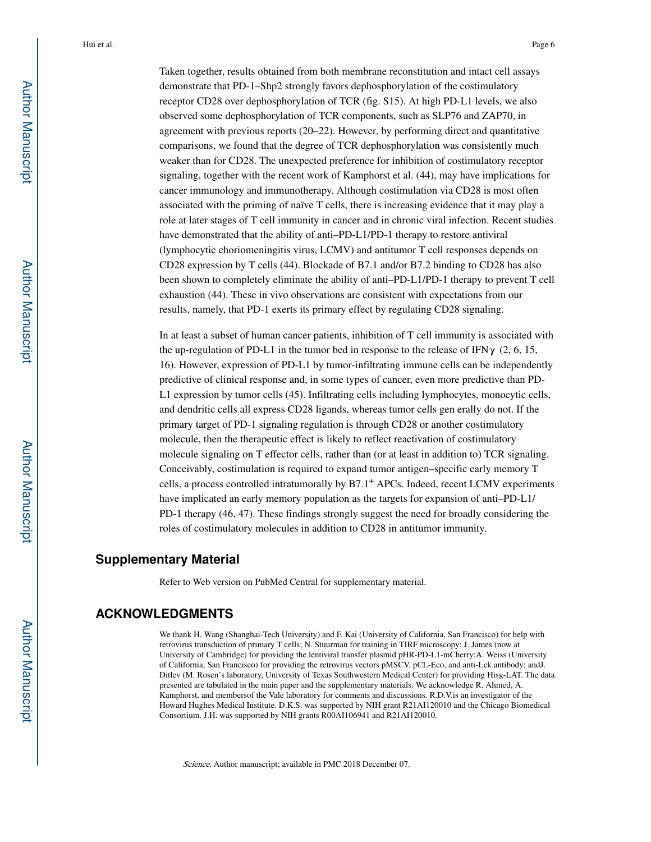Taken together, results obtained from both membrane reconstitution and intact cell assays demonstrate that PD-1–Shp2 strongly favors dephosphorylation of the costimulatory receptor CD28 over dephosphorylation of TCR (fig. S15). At high PD-L1 levels, we also observed some dephosphorylation of TCR components, such as SLP76 and ZAP70, in agreement with previous reports (20–22). However, by performing direct and quantitative comparisons, we found that the degree of TCR dephosphorylation was consistently much weaker than for CD28. The unexpected preference for inhibition of costimulatory receptor signaling, together with the recent work of Kamphorst et al. (44), may have implications for cancer immunology and immunotherapy. Although costimulation via CD28 is most often associated with the priming of naïve T cells, there is increasing evidence that it may play a role at later stages of T cell immunity in cancer and in chronic viral infection. Recent studies have demonstrated that the ability of anti–PD-L1/PD-1 therapy to restore antiviral (lymphocytic choriomeningitis virus, LCMV) and antitumor T cell responses depends on CD28 expression by T cells (44). Blockade of B7.1 and/or B7.2 binding to CD28 has also been shown to completely eliminate the ability of anti–PD-L1/PD-1 therapy to prevent T cell exhaustion (44). These in vivo observations are consistent with expectations from our results, namely, that PD-1 exerts its primary effect by regulating CD28 signaling.

In at least a subset of human cancer patients, inhibition of T cell immunity is associated with the up-regulation of PD-L1 in the tumor bed in response to the release of IFN $\gamma$  (2, 6, 15, 16). However, expression of PD-L1 by tumor-infiltrating immune cells can be independently predictive of clinical response and, in some types of cancer, even more predictive than PD-L1 expression by tumor cells (45). Infiltrating cells including lymphocytes, monocytic cells, and dendritic cells all express CD28 ligands, whereas tumor cells gen erally do not. If the primary target of PD-1 signaling regulation is through CD28 or another costimulatory molecule, then the therapeutic effect is likely to reflect reactivation of costimulatory molecule signaling on T effector cells, rather than (or at least in addition to) TCR signaling. Conceivably, costimulation is required to expand tumor antigen–specific early memory T cells, a process controlled intratumorally by B7.1+ APCs. Indeed, recent LCMV experiments have implicated an early memory population as the targets for expansion of anti–PD-L1/ PD-1 therapy (46, 47). These findings strongly suggest the need for broadly considering the roles of costimulatory molecules in addition to CD28 in antitumor immunity.

#### **Supplementary Material**

Refer to Web version on PubMed Central for supplementary material.

#### **ACKNOWLEDGMENTS**

We thank H. Wang (Shanghai-Tech University) and F. Kai (University of California, San Francisco) for help with retrovirus transduction of primary T cells; N. Stuurman for training in TIRF microscopy; J. James (now at University of Cambridge) for providing the lentiviral transfer plasmid pHR-PD-L1-mCherry;A. Weiss (University of California, San Francisco) for providing the retrovirus vectors pMSCV, pCL-Eco, and anti-Lck antibody; andJ. Ditlev (M. Rosen's laboratory, University of Texas Southwestern Medical Center) for providing His8-LAT. The data presented are tabulated in the main paper and the supplementary materials. We acknowledge R. Ahmed, A. Kamphorst, and membersof the Vale laboratory for comments and discussions. R.D.V.is an investigator of the Howard Hughes Medical Institute. D.K.S. was supported by NIH grant R21AI120010 and the Chicago Biomedical Consortium. J.H. was supported by NIH grants R00AI106941 and R21AI120010.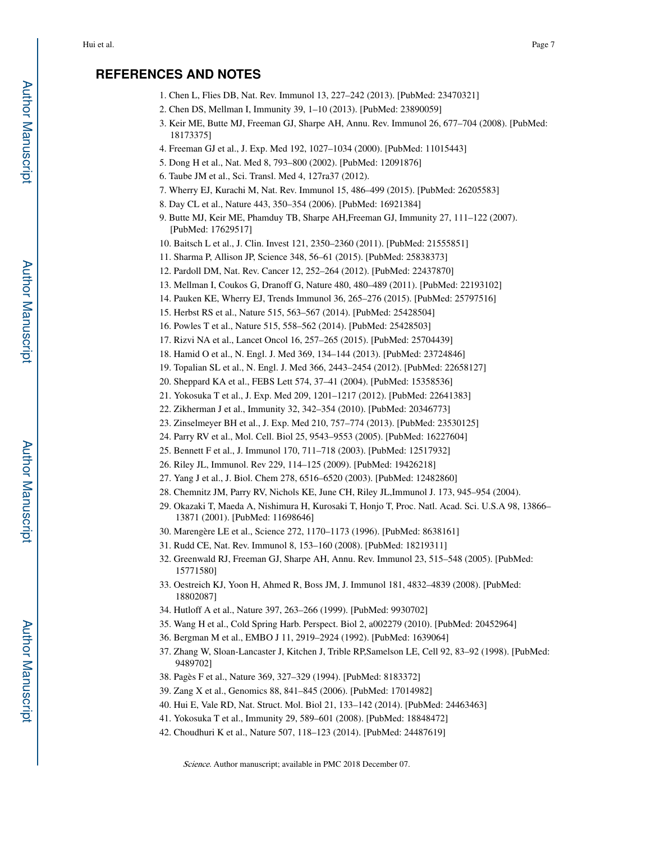### **REFERENCES AND NOTES**

- 1. Chen L, Flies DB, Nat. Rev. Immunol 13, 227–242 (2013). [PubMed: 23470321]
- 2. Chen DS, Mellman I, Immunity 39, 1–10 (2013). [PubMed: 23890059]
- 3. Keir ME, Butte MJ, Freeman GJ, Sharpe AH, Annu. Rev. Immunol 26, 677–704 (2008). [PubMed: 18173375]
- 4. Freeman GJ et al., J. Exp. Med 192, 1027–1034 (2000). [PubMed: 11015443]
- 5. Dong H et al., Nat. Med 8, 793–800 (2002). [PubMed: 12091876]
- 6. Taube JM et al., Sci. Transl. Med 4, 127ra37 (2012).
- 7. Wherry EJ, Kurachi M, Nat. Rev. Immunol 15, 486–499 (2015). [PubMed: 26205583]
- 8. Day CL et al., Nature 443, 350–354 (2006). [PubMed: 16921384]
- 9. Butte MJ, Keir ME, Phamduy TB, Sharpe AH,Freeman GJ, Immunity 27, 111–122 (2007). [PubMed: 17629517]
- 10. Baitsch L et al., J. Clin. Invest 121, 2350–2360 (2011). [PubMed: 21555851]
- 11. Sharma P, Allison JP, Science 348, 56–61 (2015). [PubMed: 25838373]
- 12. Pardoll DM, Nat. Rev. Cancer 12, 252–264 (2012). [PubMed: 22437870]
- 13. Mellman I, Coukos G, Dranoff G, Nature 480, 480–489 (2011). [PubMed: 22193102]
- 14. Pauken KE, Wherry EJ, Trends Immunol 36, 265–276 (2015). [PubMed: 25797516]
- 15. Herbst RS et al., Nature 515, 563–567 (2014). [PubMed: 25428504]
- 16. Powles T et al., Nature 515, 558–562 (2014). [PubMed: 25428503]
- 17. Rizvi NA et al., Lancet Oncol 16, 257–265 (2015). [PubMed: 25704439]
- 18. Hamid O et al., N. Engl. J. Med 369, 134–144 (2013). [PubMed: 23724846]
- 19. Topalian SL et al., N. Engl. J. Med 366, 2443–2454 (2012). [PubMed: 22658127]
- 20. Sheppard KA et al., FEBS Lett 574, 37–41 (2004). [PubMed: 15358536]
- 21. Yokosuka T et al., J. Exp. Med 209, 1201–1217 (2012). [PubMed: 22641383]
- 22. Zikherman J et al., Immunity 32, 342–354 (2010). [PubMed: 20346773]
- 23. Zinselmeyer BH et al., J. Exp. Med 210, 757–774 (2013). [PubMed: 23530125]
- 24. Parry RV et al., Mol. Cell. Biol 25, 9543–9553 (2005). [PubMed: 16227604]
- 25. Bennett F et al., J. Immunol 170, 711–718 (2003). [PubMed: 12517932]
- 26. Riley JL, Immunol. Rev 229, 114–125 (2009). [PubMed: 19426218]
- 27. Yang J et al., J. Biol. Chem 278, 6516–6520 (2003). [PubMed: 12482860]
- 28. Chemnitz JM, Parry RV, Nichols KE, June CH, Riley JL,Immunol J. 173, 945–954 (2004).
- 29. Okazaki T, Maeda A, Nishimura H, Kurosaki T, Honjo T, Proc. Natl. Acad. Sci. U.S.A 98, 13866– 13871 (2001). [PubMed: 11698646]
- 30. Marengère LE et al., Science 272, 1170–1173 (1996). [PubMed: 8638161]
- 31. Rudd CE, Nat. Rev. Immunol 8, 153–160 (2008). [PubMed: 18219311]
- 32. Greenwald RJ, Freeman GJ, Sharpe AH, Annu. Rev. Immunol 23, 515–548 (2005). [PubMed: 15771580]
- 33. Oestreich KJ, Yoon H, Ahmed R, Boss JM, J. Immunol 181, 4832–4839 (2008). [PubMed: 18802087]
- 34. Hutloff A et al., Nature 397, 263–266 (1999). [PubMed: 9930702]
- 35. Wang H et al., Cold Spring Harb. Perspect. Biol 2, a002279 (2010). [PubMed: 20452964]
- 36. Bergman M et al., EMBO J 11, 2919–2924 (1992). [PubMed: 1639064]
- 37. Zhang W, Sloan-Lancaster J, Kitchen J, Trible RP,Samelson LE, Cell 92, 83–92 (1998). [PubMed: 9489702]
- 38. Pagès F et al., Nature 369, 327–329 (1994). [PubMed: 8183372]
- 39. Zang X et al., Genomics 88, 841–845 (2006). [PubMed: 17014982]
- 40. Hui E, Vale RD, Nat. Struct. Mol. Biol 21, 133–142 (2014). [PubMed: 24463463]
- 41. Yokosuka T et al., Immunity 29, 589–601 (2008). [PubMed: 18848472]
- 42. Choudhuri K et al., Nature 507, 118–123 (2014). [PubMed: 24487619]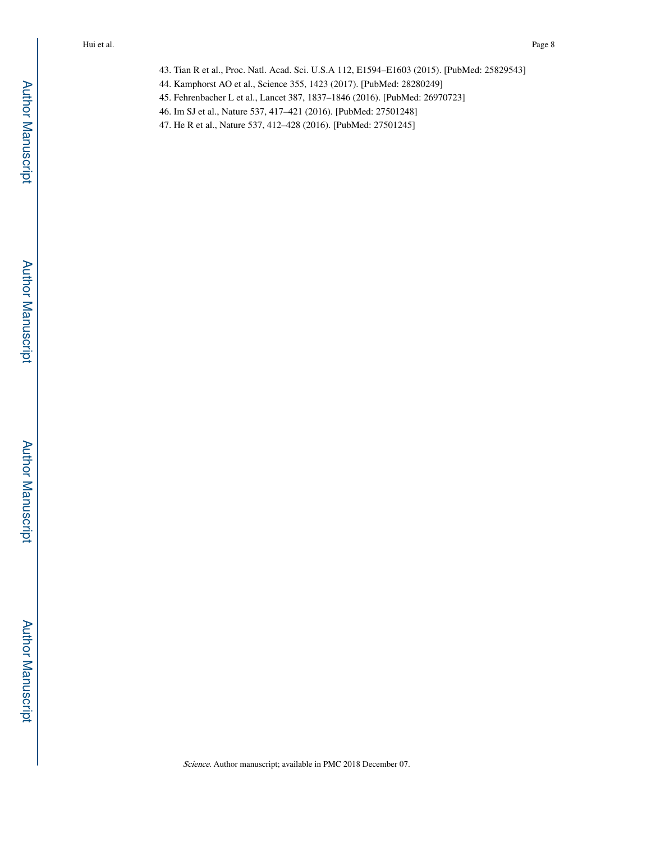- 43. Tian R et al., Proc. Natl. Acad. Sci. U.S.A 112, E1594–E1603 (2015). [PubMed: 25829543]
- 44. Kamphorst AO et al., Science 355, 1423 (2017). [PubMed: 28280249]
- 45. Fehrenbacher L et al., Lancet 387, 1837–1846 (2016). [PubMed: 26970723]
- 46. Im SJ et al., Nature 537, 417–421 (2016). [PubMed: 27501248]
- 47. He R et al., Nature 537, 412–428 (2016). [PubMed: 27501245]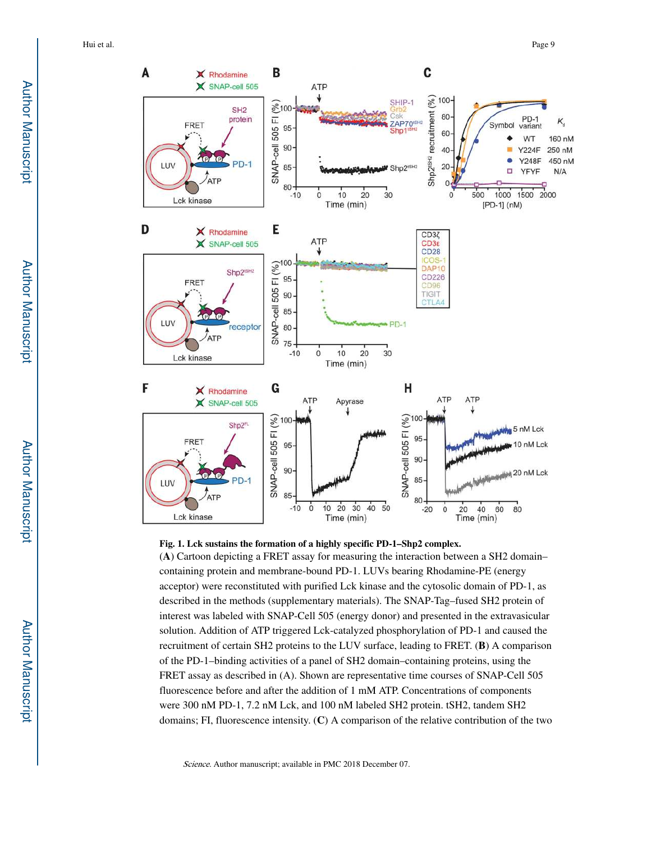

#### **Fig. 1. Lck sustains the formation of a highly specific PD-1–Shp2 complex.**

(**A**) Cartoon depicting a FRET assay for measuring the interaction between a SH2 domain– containing protein and membrane-bound PD-1. LUVs bearing Rhodamine-PE (energy acceptor) were reconstituted with purified Lck kinase and the cytosolic domain of PD-1, as described in the methods (supplementary materials). The SNAP-Tag–fused SH2 protein of interest was labeled with SNAP-Cell 505 (energy donor) and presented in the extravasicular solution. Addition of ATP triggered Lck-catalyzed phosphorylation of PD-1 and caused the recruitment of certain SH2 proteins to the LUV surface, leading to FRET. (**B**) A comparison of the PD-1–binding activities of a panel of SH2 domain–containing proteins, using the FRET assay as described in (A). Shown are representative time courses of SNAP-Cell 505 fluorescence before and after the addition of 1 mM ATP. Concentrations of components were 300 nM PD-1, 7.2 nM Lck, and 100 nM labeled SH2 protein. tSH2, tandem SH2 domains; FI, fluorescence intensity. (**C**) A comparison of the relative contribution of the two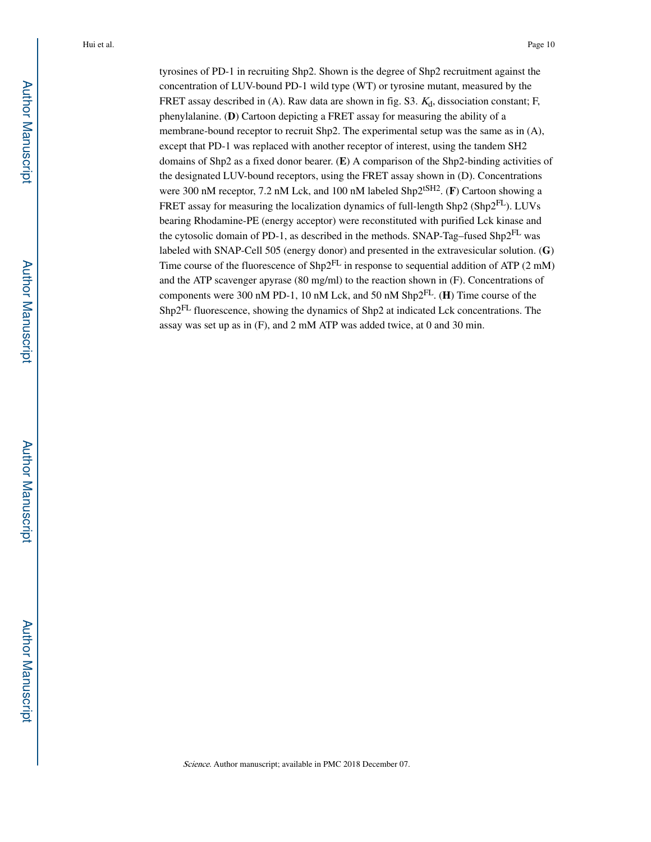tyrosines of PD-1 in recruiting Shp2. Shown is the degree of Shp2 recruitment against the concentration of LUV-bound PD-1 wild type (WT) or tyrosine mutant, measured by the FRET assay described in (A). Raw data are shown in fig. S3.  $K_d$ , dissociation constant; F, phenylalanine. (**D**) Cartoon depicting a FRET assay for measuring the ability of a membrane-bound receptor to recruit Shp2. The experimental setup was the same as in (A), except that PD-1 was replaced with another receptor of interest, using the tandem SH2 domains of Shp2 as a fixed donor bearer. (**E**) A comparison of the Shp2-binding activities of the designated LUV-bound receptors, using the FRET assay shown in (D). Concentrations were 300 nM receptor, 7.2 nM Lck, and 100 nM labeled Shp2<sup>tSH2</sup>. (**F**) Cartoon showing a FRET assay for measuring the localization dynamics of full-length Shp2 (Shp2FL). LUVs bearing Rhodamine-PE (energy acceptor) were reconstituted with purified Lck kinase and the cytosolic domain of PD-1, as described in the methods. SNAP-Tag–fused Shp2FL was labeled with SNAP-Cell 505 (energy donor) and presented in the extravesicular solution. (**G**) Time course of the fluorescence of  $\text{Shp2}^{FL}$  in response to sequential addition of ATP (2 mM) and the ATP scavenger apyrase (80 mg/ml) to the reaction shown in (F). Concentrations of components were 300 nM PD-1, 10 nM Lck, and 50 nM Shp2FL. (**H**) Time course of the Shp2FL fluorescence, showing the dynamics of Shp2 at indicated Lck concentrations. The assay was set up as in (F), and 2 mM ATP was added twice, at 0 and 30 min.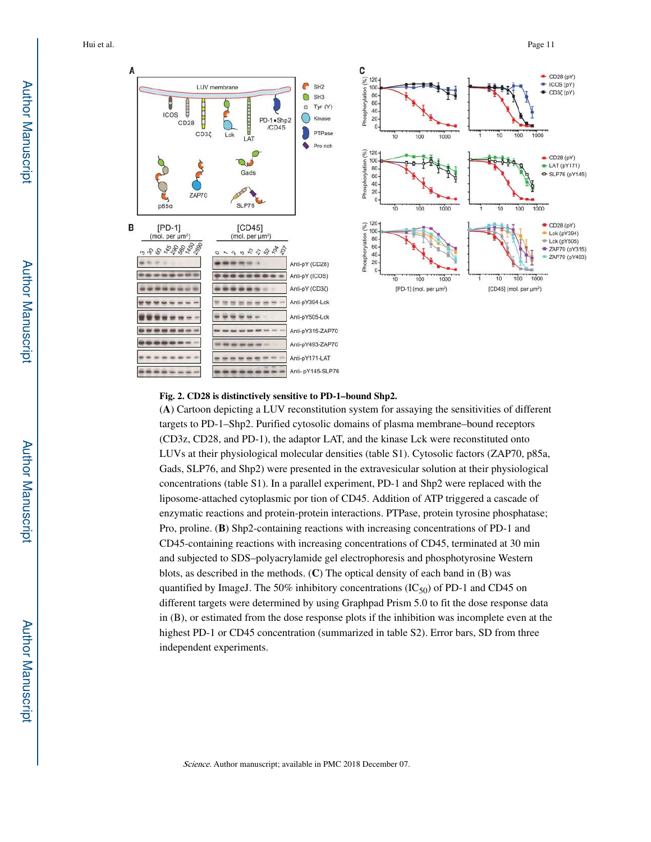



#### **Fig. 2. CD28 is distinctively sensitive to PD-1–bound Shp2.**

(**A**) Cartoon depicting a LUV reconstitution system for assaying the sensitivities of different targets to PD-1–Shp2. Purified cytosolic domains of plasma membrane–bound receptors (CD3z, CD28, and PD-1), the adaptor LAT, and the kinase Lck were reconstituted onto LUVs at their physiological molecular densities (table S1). Cytosolic factors (ZAP70, p85a, Gads, SLP76, and Shp2) were presented in the extravesicular solution at their physiological concentrations (table S1). In a parallel experiment, PD-1 and Shp2 were replaced with the liposome-attached cytoplasmic por tion of CD45. Addition of ATP triggered a cascade of enzymatic reactions and protein-protein interactions. PTPase, protein tyrosine phosphatase; Pro, proline. (**B**) Shp2-containing reactions with increasing concentrations of PD-1 and CD45-containing reactions with increasing concentrations of CD45, terminated at 30 min and subjected to SDS–polyacrylamide gel electrophoresis and phosphotyrosine Western blots, as described in the methods. (**C**) The optical density of each band in (B) was quantified by ImageJ. The 50% inhibitory concentrations  $(IC_{50})$  of PD-1 and CD45 on different targets were determined by using Graphpad Prism 5.0 to fit the dose response data in (B), or estimated from the dose response plots if the inhibition was incomplete even at the highest PD-1 or CD45 concentration (summarized in table S2). Error bars, SD from three independent experiments.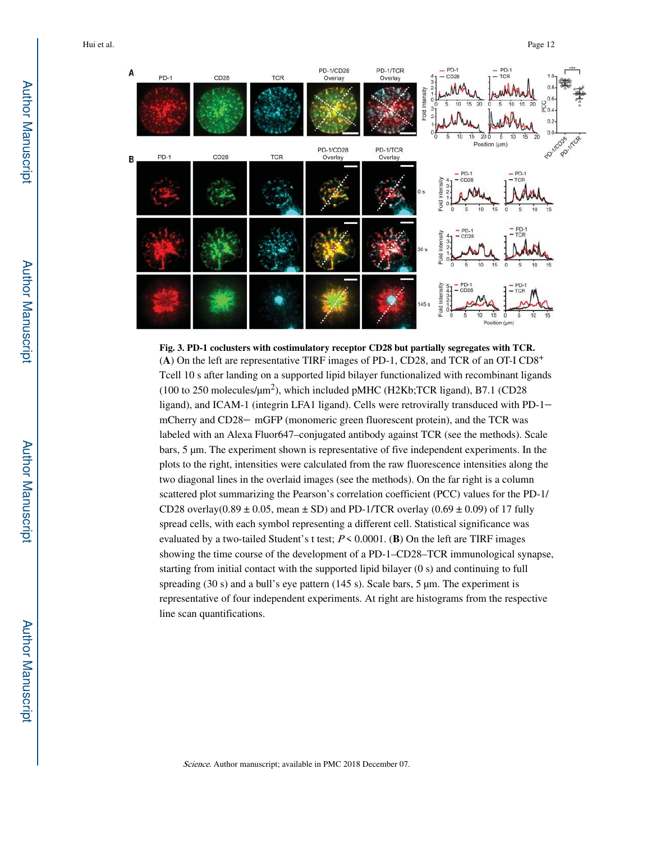

**Fig. 3. PD-1 coclusters with costimulatory receptor CD28 but partially segregates with TCR.** (**A**) On the left are representative TIRF images of PD-1, CD28, and TCR of an OT-I CD8<sup>+</sup> Tcell 10 s after landing on a supported lipid bilayer functionalized with recombinant ligands (100 to 250 molecules/ $\mu$ m<sup>2</sup>), which included pMHC (H2Kb;TCR ligand), B7.1 (CD28 ligand), and ICAM-1 (integrin LFA1 ligand). Cells were retrovirally transduced with PD-1– mCherry and CD28- mGFP (monomeric green fluorescent protein), and the TCR was labeled with an Alexa Fluor647–conjugated antibody against TCR (see the methods). Scale bars, 5 μm. The experiment shown is representative of five independent experiments. In the plots to the right, intensities were calculated from the raw fluorescence intensities along the two diagonal lines in the overlaid images (see the methods). On the far right is a column scattered plot summarizing the Pearson's correlation coefficient (PCC) values for the PD-1/ CD28 overlay( $0.89 \pm 0.05$ , mean  $\pm$  SD) and PD-1/TCR overlay ( $0.69 \pm 0.09$ ) of 17 fully spread cells, with each symbol representing a different cell. Statistical significance was evaluated by a two-tailed Student's t test; P < 0.0001. (**B**) On the left are TIRF images showing the time course of the development of a PD-1–CD28–TCR immunological synapse, starting from initial contact with the supported lipid bilayer (0 s) and continuing to full spreading (30 s) and a bull's eye pattern (145 s). Scale bars, 5 μm. The experiment is representative of four independent experiments. At right are histograms from the respective line scan quantifications.